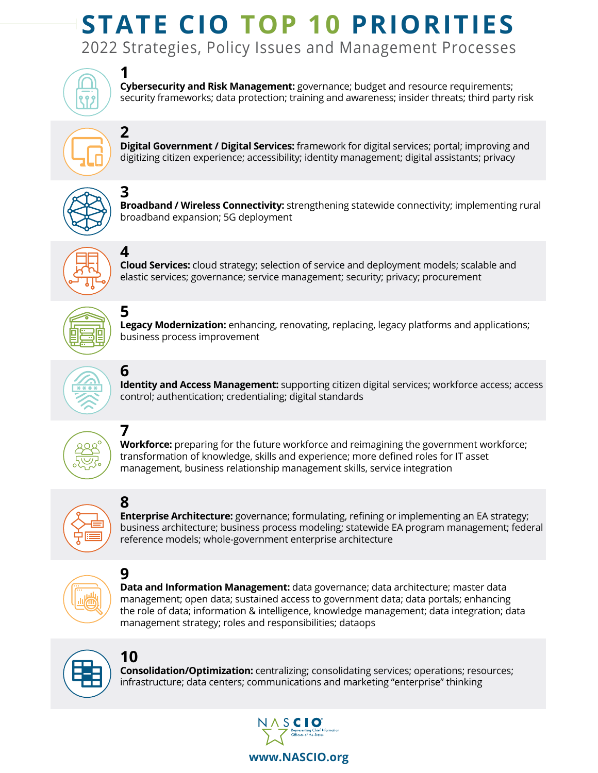## 2022 Strategies, Policy Issues and Management Processes **STATE CIO TOP 10 PRIORITIES**



**1** 

**2** 

**4**

**6**

**7**

**8**

**Cybersecurity and Risk Management:** governance; budget and resource requirements; security frameworks; data protection; training and awareness; insider threats; third party risk



**Digital Government / Digital Services:** framework for digital services; portal; improving and digitizing citizen experience; accessibility; identity management; digital assistants; privacy



**3 Broadband / Wireless Connectivity:** strengthening statewide connectivity; implementing rural broadband expansion; 5G deployment



**Cloud Services:** cloud strategy; selection of service and deployment models; scalable and elastic services; governance; service management; security; privacy; procurement



**5 Legacy Modernization:** enhancing, renovating, replacing, legacy platforms and applications; business process improvement



**Identity and Access Management:** supporting citizen digital services; workforce access; access control; authentication; credentialing; digital standards



**Workforce:** preparing for the future workforce and reimagining the government workforce; transformation of knowledge, skills and experience; more defined roles for IT asset management, business relationship management skills, service integration



**Enterprise Architecture:** governance; formulating, refining or implementing an EA strategy; business architecture; business process modeling; statewide EA program management; federal reference models; whole-government enterprise architecture



**9 Data and Information Management:** data governance; data architecture; master data management; open data; sustained access to government data; data portals; enhancing the role of data; information & intelligence, knowledge management; data integration; data management strategy; roles and responsibilities; dataops



**10 Consolidation/Optimization:** centralizing; consolidating services; operations; resources; infrastructure; data centers; communications and marketing "enterprise" thinking